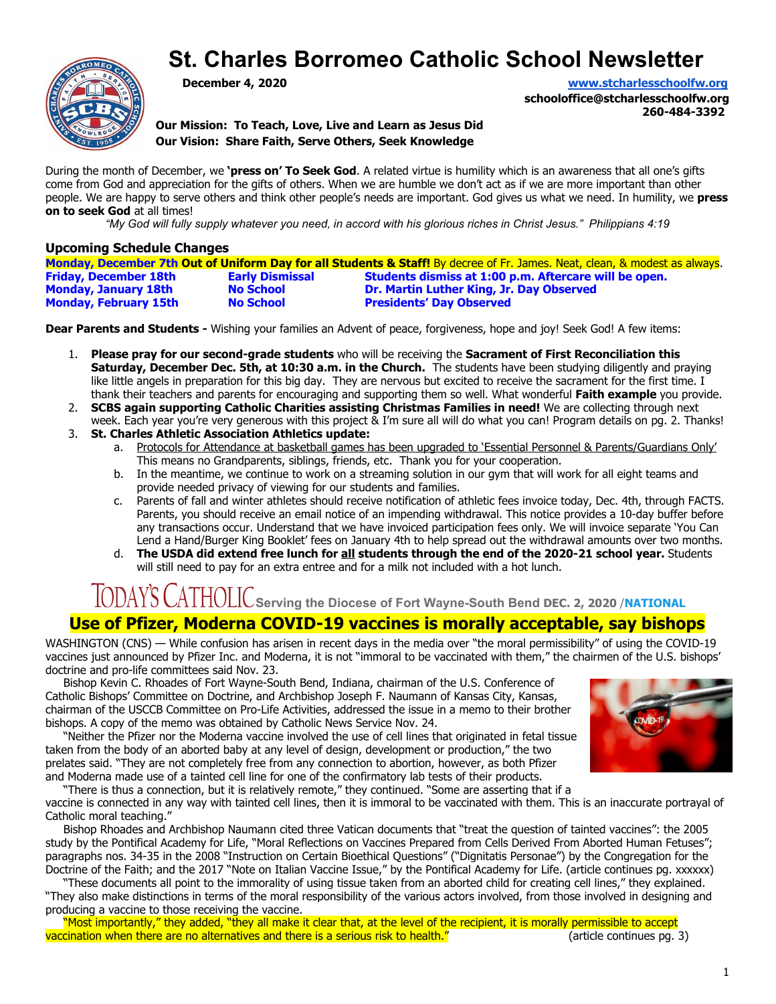# **St. Charles Borromeo Catholic School Newsletter**



**December 4, 2020 [www.stcharlesschoolfw.org](http://www.stcharlesschoolfw.org/)**

**schooloffice@stcharlesschoolfw.org 260-484-3392**

**Our Mission: To Teach, Love, Live and Learn as Jesus Did Our Vision: Share Faith, Serve Others, Seek Knowledge**

During the month of December, we **'press on' To Seek God**. A related virtue is humility which is an awareness that all one's gifts come from God and appreciation for the gifts of others. When we are humble we don't act as if we are more important than other people. We are happy to serve others and think other people's needs are important. God gives us what we need. In humility, we **press on to seek God** at all times!

*"My God will fully supply whatever you need, in accord with his glorious riches in Christ Jesus." Philippians 4:19*

#### **Upcoming Schedule Changes**

|                              |                        | Monday, December 7th Out of Uniform Day for all Students & Staff! By decree of Fr. James. Neat, clean, & modest as always. |
|------------------------------|------------------------|----------------------------------------------------------------------------------------------------------------------------|
| <b>Friday, December 18th</b> | <b>Early Dismissal</b> | Students dismiss at 1:00 p.m. Aftercare will be open.                                                                      |
| <b>Monday, January 18th</b>  | <b>No School</b>       | Dr. Martin Luther King, Jr. Day Observed                                                                                   |
| <b>Monday, February 15th</b> | <b>No School</b>       | <b>Presidents' Day Observed</b>                                                                                            |

**Dear Parents and Students -** Wishing your families an Advent of peace, forgiveness, hope and joy! Seek God! A few items:

- 1. **Please pray for our second-grade students** who will be receiving the **Sacrament of First Reconciliation this Saturday, December Dec. 5th, at 10:30 a.m. in the Church.** The students have been studying diligently and praying like little angels in preparation for this big day. They are nervous but excited to receive the sacrament for the first time. I thank their teachers and parents for encouraging and supporting them so well. What wonderful **Faith example** you provide.
- 2. **SCBS again supporting Catholic Charities assisting Christmas Families in need!** We are collecting through next week. Each year you're very generous with this project & I'm sure all will do what you can! Program details on pg. 2. Thanks!
- 3. **St. Charles Athletic Association Athletics update:**
	- a. Protocols for Attendance at basketball games has been upgraded to 'Essential Personnel & Parents/Guardians Only' This means no Grandparents, siblings, friends, etc. Thank you for your cooperation.
	- b. In the meantime, we continue to work on a streaming solution in our gym that will work for all eight teams and provide needed privacy of viewing for our students and families.
	- c. Parents of fall and winter athletes should receive notification of athletic fees invoice today, Dec. 4th, through FACTS. Parents, you should receive an email notice of an impending withdrawal. This notice provides a 10-day buffer before any transactions occur. Understand that we have invoiced participation fees only. We will invoice separate 'You Can Lend a Hand/Burger King Booklet' fees on January 4th to help spread out the withdrawal amounts over two months.
	- d. **The USDA did extend free lunch for all students through the end of the 2020-21 school year.** Students will still need to pay for an extra entree and for a milk not included with a hot lunch.

# $\sqrt{\text{ODAYS}}$   $\text{CATHOLIC}$  Serving the Diocese of Fort Wayne-South Bend DEC. 2, 2020 /**[NATIONAL](https://todayscatholic.org/category/worldnews/national/)**

# **Use of Pfizer, Moderna COVID-19 vaccines is morally acceptable, say bishops**

WASHINGTON (CNS) — While confusion has arisen in recent days in the media over "the moral permissibility" of using the COVID-19 vaccines just announced by Pfizer Inc. and Moderna, it is not "immoral to be vaccinated with them," the chairmen of the U.S. bishops' doctrine and pro-life committees said Nov. 23.

 Bishop Kevin C. Rhoades of Fort Wayne-South Bend, Indiana, chairman of the U.S. Conference of Catholic Bishops' Committee on Doctrine, and Archbishop Joseph F. Naumann of Kansas City, Kansas, chairman of the USCCB Committee on Pro-Life Activities, addressed the issue in a memo to their brother bishops. A copy of the memo was obtained by Catholic News Service Nov. 24.

 "Neither the Pfizer nor the Moderna vaccine involved the use of cell lines that originated in fetal tissue taken from the body of an aborted baby at any level of design, development or production," the two prelates said. "They are not completely free from any connection to abortion, however, as both Pfizer and Moderna made use of a tainted cell line for one of the confirmatory lab tests of their products.



"There is thus a connection, but it is relatively remote," they continued. "Some are asserting that if a

vaccine is connected in any way with tainted cell lines, then it is immoral to be vaccinated with them. This is an inaccurate portrayal of Catholic moral teaching."

 Bishop Rhoades and Archbishop Naumann cited three Vatican documents that "treat the question of tainted vaccines": the 2005 study by the Pontifical Academy for Life, "Moral Reflections on Vaccines Prepared from Cells Derived From Aborted Human Fetuses"; paragraphs nos. 34-35 in the 2008 "Instruction on Certain Bioethical Questions" ("Dignitatis Personae") by the Congregation for the Doctrine of the Faith; and the 2017 "Note on Italian Vaccine Issue," by the Pontifical Academy for Life. (article continues pg. xxxxxx)

 "These documents all point to the immorality of using tissue taken from an aborted child for creating cell lines," they explained. "They also make distinctions in terms of the moral responsibility of the various actors involved, from those involved in designing and producing a vaccine to those receiving the vaccine.

 "Most importantly," they added, "they all make it clear that, at the level of the recipient, it is morally permissible to accept vaccination when there are no alternatives and there is a serious risk to health." (article continues pg. 3)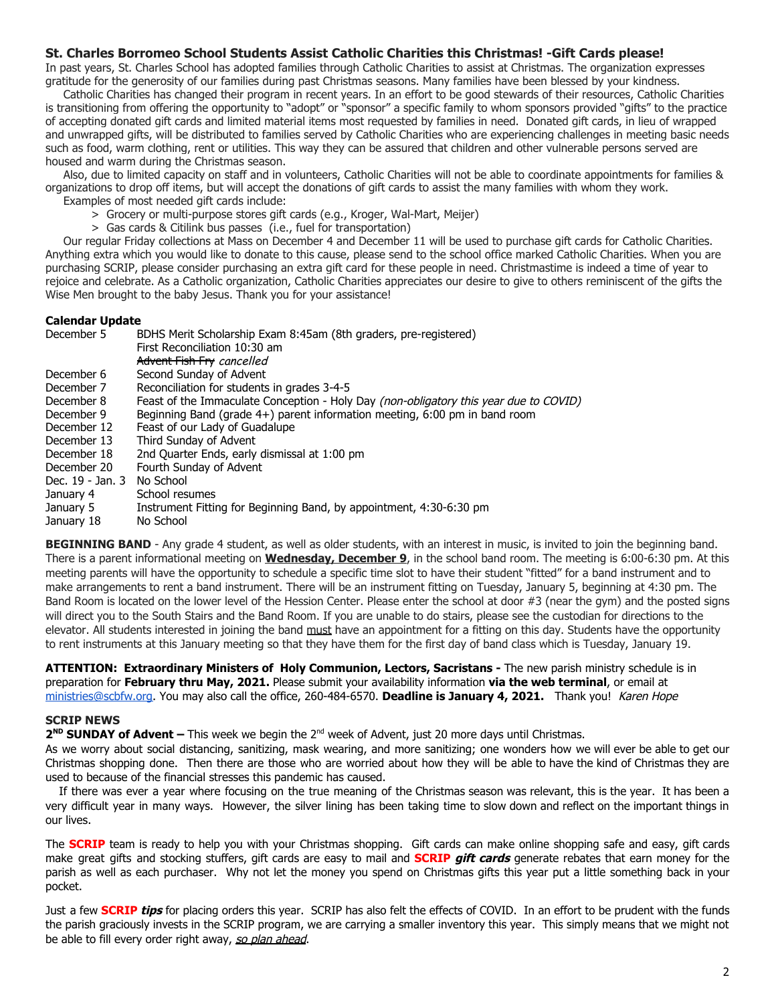#### **St. Charles Borromeo School Students Assist Catholic Charities this Christmas! -Gift Cards please!**

In past years, St. Charles School has adopted families through Catholic Charities to assist at Christmas. The organization expresses gratitude for the generosity of our families during past Christmas seasons. Many families have been blessed by your kindness.

 Catholic Charities has changed their program in recent years. In an effort to be good stewards of their resources, Catholic Charities is transitioning from offering the opportunity to "adopt" or "sponsor" a specific family to whom sponsors provided "gifts" to the practice of accepting donated gift cards and limited material items most requested by families in need. Donated gift cards, in lieu of wrapped and unwrapped gifts, will be distributed to families served by Catholic Charities who are experiencing challenges in meeting basic needs such as food, warm clothing, rent or utilities. This way they can be assured that children and other vulnerable persons served are housed and warm during the Christmas season.

 Also, due to limited capacity on staff and in volunteers, Catholic Charities will not be able to coordinate appointments for families & organizations to drop off items, but will accept the donations of gift cards to assist the many families with whom they work.

Examples of most needed gift cards include:

- > Grocery or multi-purpose stores gift cards (e.g., Kroger, Wal-Mart, Meijer)
- > Gas cards & Citilink bus passes (i.e., fuel for transportation)

 Our regular Friday collections at Mass on December 4 and December 11 will be used to purchase gift cards for Catholic Charities. Anything extra which you would like to donate to this cause, please send to the school office marked Catholic Charities. When you are purchasing SCRIP, please consider purchasing an extra gift card for these people in need. Christmastime is indeed a time of year to rejoice and celebrate. As a Catholic organization, Catholic Charities appreciates our desire to give to others reminiscent of the gifts the Wise Men brought to the baby Jesus. Thank you for your assistance!

#### **Calendar Update**

| December 5       | BDHS Merit Scholarship Exam 8:45am (8th graders, pre-registered)                      |  |  |  |
|------------------|---------------------------------------------------------------------------------------|--|--|--|
|                  | First Reconciliation 10:30 am                                                         |  |  |  |
|                  | Advent Fish Fry cancelled                                                             |  |  |  |
| December 6       | Second Sunday of Advent                                                               |  |  |  |
| December 7       | Reconciliation for students in grades 3-4-5                                           |  |  |  |
| December 8       | Feast of the Immaculate Conception - Holy Day (non-obligatory this year due to COVID) |  |  |  |
| December 9       | Beginning Band (grade 4+) parent information meeting, 6:00 pm in band room            |  |  |  |
| December 12      | Feast of our Lady of Guadalupe                                                        |  |  |  |
| December 13      | Third Sunday of Advent                                                                |  |  |  |
| December 18      | 2nd Quarter Ends, early dismissal at 1:00 pm                                          |  |  |  |
| December 20      | Fourth Sunday of Advent                                                               |  |  |  |
| Dec. 19 - Jan. 3 | No School                                                                             |  |  |  |
| January 4        | School resumes                                                                        |  |  |  |
| January 5        | Instrument Fitting for Beginning Band, by appointment, 4:30-6:30 pm                   |  |  |  |
| January 18       | No School                                                                             |  |  |  |

BEGINNING BAND - Any grade 4 student, as well as older students, with an interest in music, is invited to join the beginning band. There is a parent informational meeting on **Wednesday, December 9**, in the school band room. The meeting is 6:00-6:30 pm. At this meeting parents will have the opportunity to schedule a specific time slot to have their student "fitted" for a band instrument and to make arrangements to rent a band instrument. There will be an instrument fitting on Tuesday, January 5, beginning at 4:30 pm. The Band Room is located on the lower level of the Hession Center. Please enter the school at door #3 (near the gym) and the posted signs will direct you to the South Stairs and the Band Room. If you are unable to do stairs, please see the custodian for directions to the elevator. All students interested in joining the band must have an appointment for a fitting on this day. Students have the opportunity to rent instruments at this January meeting so that they have them for the first day of band class which is Tuesday, January 19.

**ATTENTION: Extraordinary Ministers of Holy Communion, Lectors, Sacristans -** The new parish ministry schedule is in preparation for **February thru May, 2021.** Please submit your availability information **via the web terminal**, or email at [ministries@scbfw.org.](mailto:ministries@scbfw.org) You may also call the office, 260-484-6570. **Deadline is January 4, 2021.** Thank you! Karen Hope

#### **SCRIP NEWS**

**2<sup>ND</sup> SUNDAY of Advent – This week we begin the 2<sup>nd</sup> week of Advent, just 20 more days until Christmas.** 

As we worry about social distancing, sanitizing, mask wearing, and more sanitizing; one wonders how we will ever be able to get our Christmas shopping done. Then there are those who are worried about how they will be able to have the kind of Christmas they are used to because of the financial stresses this pandemic has caused.

If there was ever a year where focusing on the true meaning of the Christmas season was relevant, this is the year. It has been a very difficult year in many ways. However, the silver lining has been taking time to slow down and reflect on the important things in our lives.

The **SCRIP** team is ready to help you with your Christmas shopping. Gift cards can make online shopping safe and easy, gift cards make great gifts and stocking stuffers, gift cards are easy to mail and **SCRIP gift cards** generate rebates that earn money for the parish as well as each purchaser. Why not let the money you spend on Christmas gifts this year put a little something back in your pocket.

Just a few **SCRIP tips** for placing orders this year. SCRIP has also felt the effects of COVID. In an effort to be prudent with the funds the parish graciously invests in the SCRIP program, we are carrying a smaller inventory this year. This simply means that we might not be able to fill every order right away, so plan ahead.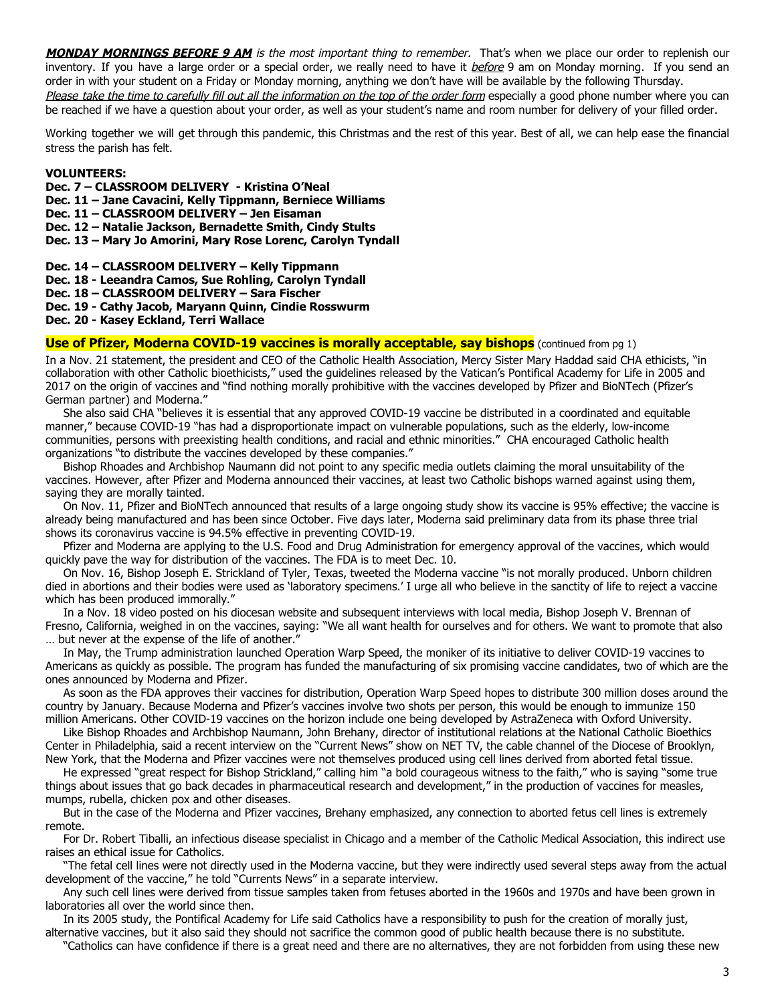**MONDAY MORNINGS BEFORE 9 AM** is the most important thing to remember. That's when we place our order to replenish our inventory. If you have a large order or a special order, we really need to have it before 9 am on Monday morning. If you send an order in with your student on a Friday or Monday morning, anything we don't have will be available by the following Thursday. Please take the time to carefully fill out all the information on the top of the order form especially a good phone number where you can be reached if we have a question about your order, as well as your student's name and room number for delivery of your filled order.

Working together we will get through this pandemic, this Christmas and the rest of this year. Best of all, we can help ease the financial stress the parish has felt.

#### **VOLUNTEERS:**

**Dec. 7 – CLASSROOM DELIVERY - Kristina O'Neal**

- **Dec. 11 Jane Cavacini, Kelly Tippmann, Berniece Williams**
- **Dec. 11 CLASSROOM DELIVERY Jen Eisaman**
- **Dec. 12 Natalie Jackson, Bernadette Smith, Cindy Stults**
- **Dec. 13 Mary Jo Amorini, Mary Rose Lorenc, Carolyn Tyndall**
- **Dec. 14 CLASSROOM DELIVERY Kelly Tippmann**
- **Dec. 18 Leeandra Camos, Sue Rohling, Carolyn Tyndall**
- **Dec. 18 CLASSROOM DELIVERY Sara Fischer**
- **Dec. 19 Cathy Jacob, Maryann Quinn, Cindie Rosswurm**
- **Dec. 20 Kasey Eckland, Terri Wallace**

#### **Use of Pfizer, Moderna COVID-19 vaccines is morally acceptable, say bishops** (continued from pg 1)

In a Nov. 21 statement, the president and CEO of the Catholic Health Association, Mercy Sister Mary Haddad said CHA ethicists, "in collaboration with other Catholic bioethicists," used the guidelines released by the Vatican's Pontifical Academy for Life in 2005 and 2017 on the origin of vaccines and "find nothing morally prohibitive with the vaccines developed by Pfizer and BioNTech (Pfizer's German partner) and Moderna."

 She also said CHA "believes it is essential that any approved COVID-19 vaccine be distributed in a coordinated and equitable manner," because COVID-19 "has had a disproportionate impact on vulnerable populations, such as the elderly, low-income communities, persons with preexisting health conditions, and racial and ethnic minorities." CHA encouraged Catholic health organizations "to distribute the vaccines developed by these companies."

 Bishop Rhoades and Archbishop Naumann did not point to any specific media outlets claiming the moral unsuitability of the vaccines. However, after Pfizer and Moderna announced their vaccines, at least two Catholic bishops warned against using them, saying they are morally tainted.

 On Nov. 11, Pfizer and BioNTech announced that results of a large ongoing study show its vaccine is 95% effective; the vaccine is already being manufactured and has been since October. Five days later, Moderna said preliminary data from its phase three trial shows its coronavirus vaccine is 94.5% effective in preventing COVID-19.

 Pfizer and Moderna are applying to the U.S. Food and Drug Administration for emergency approval of the vaccines, which would quickly pave the way for distribution of the vaccines. The FDA is to meet Dec. 10.

 On Nov. 16, Bishop Joseph E. Strickland of Tyler, Texas, tweeted the Moderna vaccine "is not morally produced. Unborn children died in abortions and their bodies were used as 'laboratory specimens.' I urge all who believe in the sanctity of life to reject a vaccine which has been produced immorally."

 In a Nov. 18 video posted on his diocesan website and subsequent interviews with local media, Bishop Joseph V. Brennan of Fresno, California, weighed in on the vaccines, saying: "We all want health for ourselves and for others. We want to promote that also … but never at the expense of the life of another."

 In May, the Trump administration launched Operation Warp Speed, the moniker of its initiative to deliver COVID-19 vaccines to Americans as quickly as possible. The program has funded the manufacturing of six promising vaccine candidates, two of which are the ones announced by Moderna and Pfizer.

 As soon as the FDA approves their vaccines for distribution, Operation Warp Speed hopes to distribute 300 million doses around the country by January. Because Moderna and Pfizer's vaccines involve two shots per person, this would be enough to immunize 150 million Americans. Other COVID-19 vaccines on the horizon include one being developed by AstraZeneca with Oxford University.

 Like Bishop Rhoades and Archbishop Naumann, John Brehany, director of institutional relations at the National Catholic Bioethics Center in Philadelphia, said a recent interview on the "Current News" show on NET TV, the cable channel of the Diocese of Brooklyn, New York, that the Moderna and Pfizer vaccines were not themselves produced using cell lines derived from aborted fetal tissue.

 He expressed "great respect for Bishop Strickland," calling him "a bold courageous witness to the faith," who is saying "some true things about issues that go back decades in pharmaceutical research and development," in the production of vaccines for measles, mumps, rubella, chicken pox and other diseases.

 But in the case of the Moderna and Pfizer vaccines, Brehany emphasized, any connection to aborted fetus cell lines is extremely remote.

 For Dr. Robert Tiballi, an infectious disease specialist in Chicago and a member of the Catholic Medical Association, this indirect use raises an ethical issue for Catholics.

 "The fetal cell lines were not directly used in the Moderna vaccine, but they were indirectly used several steps away from the actual development of the vaccine," he told "Currents News" in a separate interview.

 Any such cell lines were derived from tissue samples taken from fetuses aborted in the 1960s and 1970s and have been grown in laboratories all over the world since then.

 In its 2005 study, the Pontifical Academy for Life said Catholics have a responsibility to push for the creation of morally just, alternative vaccines, but it also said they should not sacrifice the common good of public health because there is no substitute.

"Catholics can have confidence if there is a great need and there are no alternatives, they are not forbidden from using these new